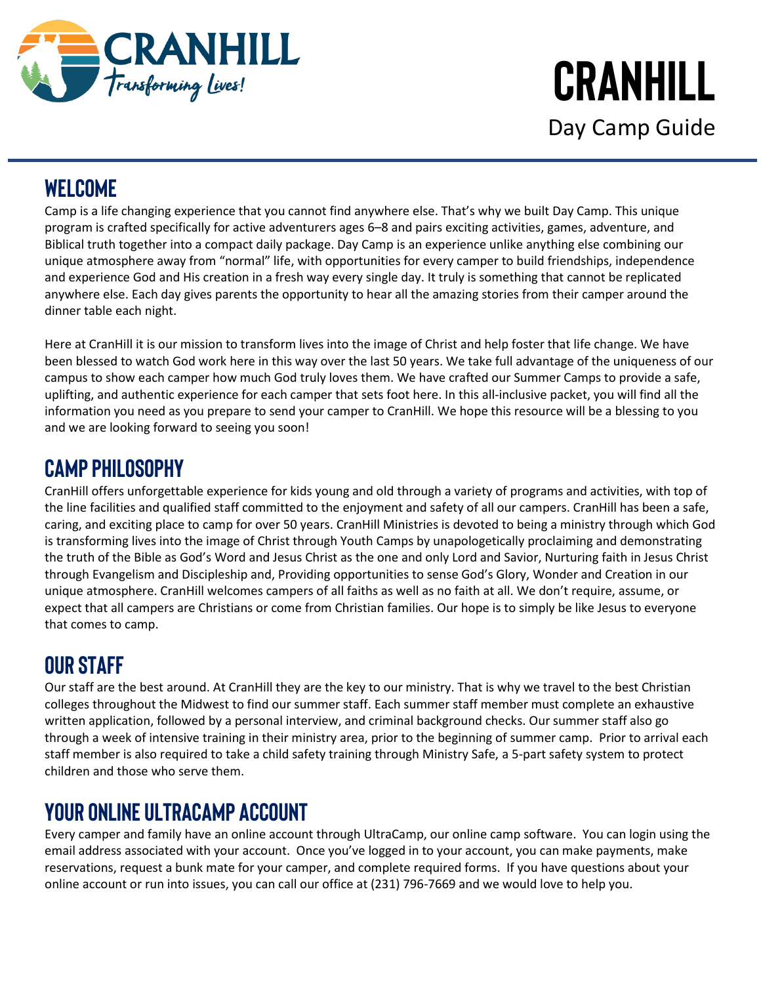

## **WELCOME**

Camp is a life changing experience that you cannot find anywhere else. That's why we built Day Camp. This unique program is crafted specifically for active adventurers ages 6–8 and pairs exciting activities, games, adventure, and Biblical truth together into a compact daily package. Day Camp is an experience unlike anything else combining our unique atmosphere away from "normal" life, with opportunities for every camper to build friendships, independence and experience God and His creation in a fresh way every single day. It truly is something that cannot be replicated anywhere else. Each day gives parents the opportunity to hear all the amazing stories from their camper around the dinner table each night.

Here at CranHill it is our mission to transform lives into the image of Christ and help foster that life change. We have been blessed to watch God work here in this way over the last 50 years. We take full advantage of the uniqueness of our campus to show each camper how much God truly loves them. We have crafted our Summer Camps to provide a safe, uplifting, and authentic experience for each camper that sets foot here. In this all-inclusive packet, you will find all the information you need as you prepare to send your camper to CranHill. We hope this resource will be a blessing to you and we are looking forward to seeing you soon!

## **CAMP PHILOSOPHY**

CranHill offers unforgettable experience for kids young and old through a variety of programs and activities, with top of the line facilities and qualified staff committed to the enjoyment and safety of all our campers. CranHill has been a safe, caring, and exciting place to camp for over 50 years. CranHill Ministries is devoted to being a ministry through which God is transforming lives into the image of Christ through Youth Camps by unapologetically proclaiming and demonstrating the truth of the Bible as God's Word and Jesus Christ as the one and only Lord and Savior, Nurturing faith in Jesus Christ through Evangelism and Discipleship and, Providing opportunities to sense God's Glory, Wonder and Creation in our unique atmosphere. CranHill welcomes campers of all faiths as well as no faith at all. We don't require, assume, or expect that all campers are Christians or come from Christian families. Our hope is to simply be like Jesus to everyone that comes to camp.

## **OUR STAFF**

Our staff are the best around. At CranHill they are the key to our ministry. That is why we travel to the best Christian colleges throughout the Midwest to find our summer staff. Each summer staff member must complete an exhaustive written application, followed by a personal interview, and criminal background checks. Our summer staff also go through a week of intensive training in their ministry area, prior to the beginning of summer camp. Prior to arrival each staff member is also required to take a child safety training through Ministry Safe, a 5-part safety system to protect children and those who serve them.

## **YOUR ONLINE UltraCamp ACCOUNT**

Every camper and family have an online account through UltraCamp, our online camp software. You can login using the email address associated with your account. Once you've logged in to your account, you can make payments, make reservations, request a bunk mate for your camper, and complete required forms. If you have questions about your online account or run into issues, you can call our office at (231) 796-7669 and we would love to help you.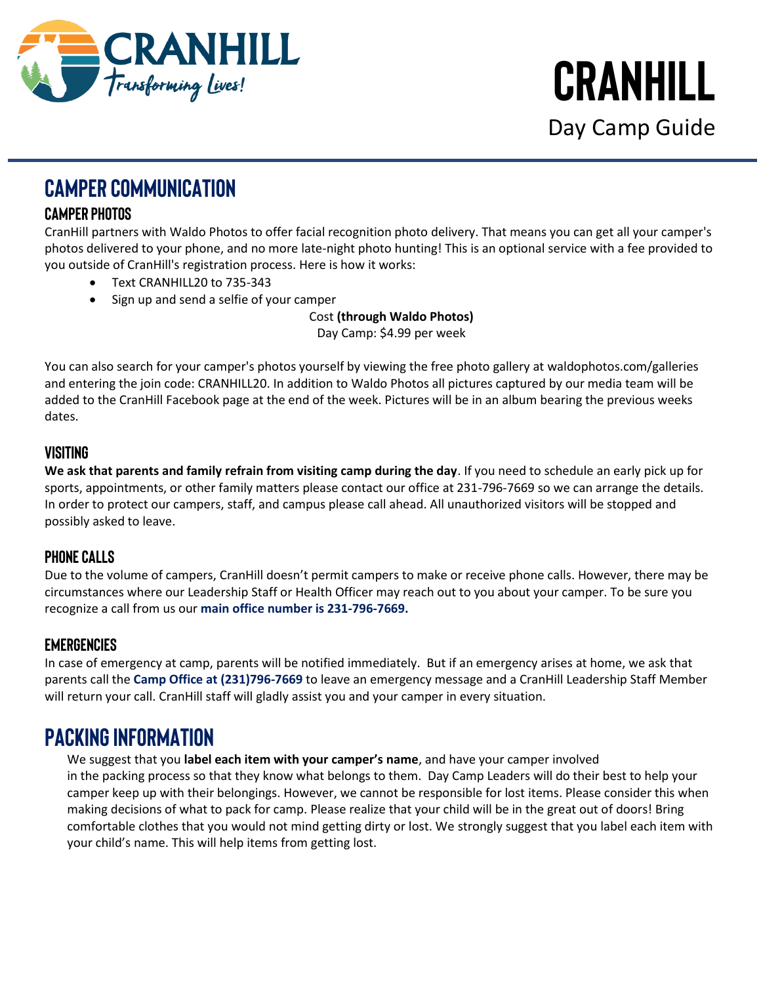

## **CAMPER COMMUNICATION**

## **Camper Photos**

CranHill partners with Waldo Photos to offer facial recognition photo delivery. That means you can get all your camper's photos delivered to your phone, and no more late-night photo hunting! This is an optional service with a fee provided to you outside of CranHill's registration process. Here is how it works:

- Text CRANHILL20 to 735-343
- Sign up and send a selfie of your camper

Cost **(through Waldo Photos)** Day Camp: \$4.99 per week

You can also search for your camper's photos yourself by viewing the free photo gallery at waldophotos.com/galleries and entering the join code: CRANHILL20. In addition to Waldo Photos all pictures captured by our media team will be added to the CranHill Facebook page at the end of the week. Pictures will be in an album bearing the previous weeks dates.

## **Visiting**

**We ask that parents and family refrain from visiting camp during the day**. If you need to schedule an early pick up for sports, appointments, or other family matters please contact our office at 231-796-7669 so we can arrange the details. In order to protect our campers, staff, and campus please call ahead. All unauthorized visitors will be stopped and possibly asked to leave.

## **Phone Calls**

Due to the volume of campers, CranHill doesn't permit campers to make or receive phone calls. However, there may be circumstances where our Leadership Staff or Health Officer may reach out to you about your camper. To be sure you recognize a call from us our **main office number is 231-796-7669.**

## **Emergencies**

In case of emergency at camp, parents will be notified immediately. But if an emergency arises at home, we ask that parents call the **Camp Office at (231)796-7669** to leave an emergency message and a CranHill Leadership Staff Member will return your call. CranHill staff will gladly assist you and your camper in every situation.

## **PACKING INFORMATION**

We suggest that you **label each item with your camper's name**, and have your camper involved in the packing process so that they know what belongs to them. Day Camp Leaders will do their best to help your camper keep up with their belongings. However, we cannot be responsible for lost items. Please consider this when making decisions of what to pack for camp. Please realize that your child will be in the great out of doors! Bring comfortable clothes that you would not mind getting dirty or lost. We strongly suggest that you label each item with your child's name. This will help items from getting lost.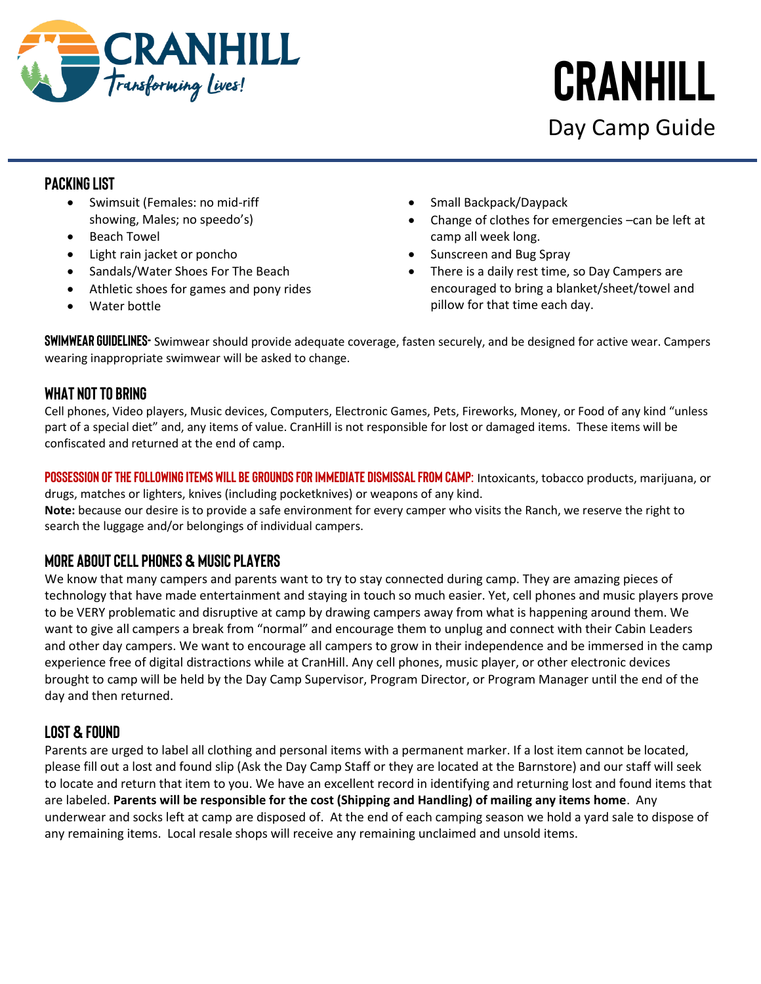

## **Packing List**

- Swimsuit (Females: no mid-riff showing, Males; no speedo's)
- Beach Towel
- Light rain jacket or poncho
- Sandals/Water Shoes For The Beach
- Athletic shoes for games and pony rides
- Water bottle
- Small Backpack/Daypack
- Change of clothes for emergencies –can be left at camp all week long.
- Sunscreen and Bug Spray
- There is a daily rest time, so Day Campers are encouraged to bring a blanket/sheet/towel and pillow for that time each day.

**Swimwear Guidelines-** Swimwear should provide adequate coverage, fasten securely, and be designed for active wear. Campers wearing inappropriate swimwear will be asked to change.

## **What NOT to Bring**

Cell phones, Video players, Music devices, Computers, Electronic Games, Pets, Fireworks, Money, or Food of any kind "unless part of a special diet" and, any items of value. CranHill is not responsible for lost or damaged items. These items will be confiscated and returned at the end of camp.

**Possession of the following items will be grounds for immediate dismissal from camp:** Intoxicants, tobacco products, marijuana, or drugs, matches or lighters, knives (including pocketknives) or weapons of any kind.

**Note:** because our desire is to provide a safe environment for every camper who visits the Ranch, we reserve the right to search the luggage and/or belongings of individual campers.

## **More about Cell Phones & Music Players**

We know that many campers and parents want to try to stay connected during camp. They are amazing pieces of technology that have made entertainment and staying in touch so much easier. Yet, cell phones and music players prove to be VERY problematic and disruptive at camp by drawing campers away from what is happening around them. We want to give all campers a break from "normal" and encourage them to unplug and connect with their Cabin Leaders and other day campers. We want to encourage all campers to grow in their independence and be immersed in the camp experience free of digital distractions while at CranHill. Any cell phones, music player, or other electronic devices brought to camp will be held by the Day Camp Supervisor, Program Director, or Program Manager until the end of the day and then returned.

## **Lost & Found**

Parents are urged to label all clothing and personal items with a permanent marker. If a lost item cannot be located, please fill out a lost and found slip (Ask the Day Camp Staff or they are located at the Barnstore) and our staff will seek to locate and return that item to you. We have an excellent record in identifying and returning lost and found items that are labeled. **Parents will be responsible for the cost (Shipping and Handling) of mailing any items home**. Any underwear and socks left at camp are disposed of. At the end of each camping season we hold a yard sale to dispose of any remaining items. Local resale shops will receive any remaining unclaimed and unsold items.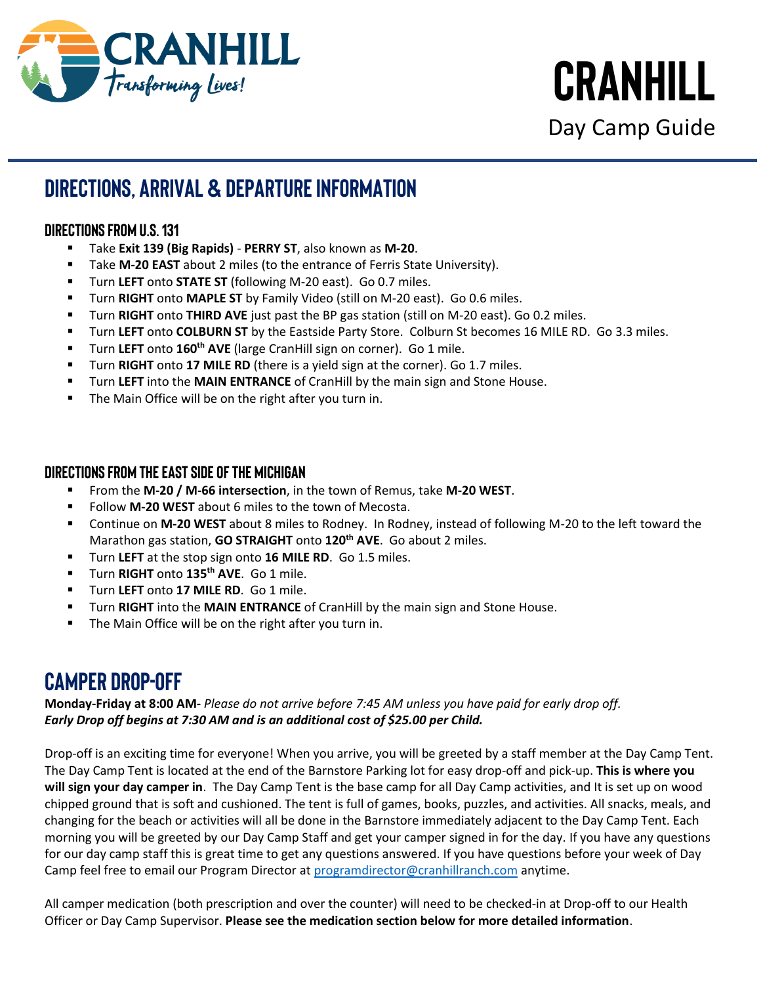

## **DIRECTIONS, ARRIVAL & DEPARTURE INFORMATION**

## **Directions from U.S. 131**

- Take **Exit 139 (Big Rapids) PERRY ST**, also known as **M-20**.
- Take **M-20 EAST** about 2 miles (to the entrance of Ferris State University).
- Turn **LEFT** onto **STATE ST** (following M-20 east). Go 0.7 miles.
- Turn **RIGHT** onto **MAPLE ST** by Family Video (still on M-20 east). Go 0.6 miles.
- Turn **RIGHT** onto **THIRD AVE** just past the BP gas station (still on M-20 east). Go 0.2 miles.
- Turn LEFT onto COLBURN ST by the Eastside Party Store. Colburn St becomes 16 MILE RD. Go 3.3 miles.
- Turn **LEFT** onto **160th AVE** (large CranHill sign on corner). Go 1 mile.
- Turn **RIGHT** onto **17 MILE RD** (there is a yield sign at the corner). Go 1.7 miles.
- **Turn LEFT** into the **MAIN ENTRANCE** of CranHill by the main sign and Stone House.
- The Main Office will be on the right after you turn in.

### **Directions from the East Side of the Michigan**

- From the **M-20 / M-66 intersection**, in the town of Remus, take **M-20 WEST**.
- Follow **M-20 WEST** about 6 miles to the town of Mecosta.
- Continue on **M-20 WEST** about 8 miles to Rodney. In Rodney, instead of following M-20 to the left toward the Marathon gas station, **GO STRAIGHT** onto **120th AVE**. Go about 2 miles.
- Turn **LEFT** at the stop sign onto **16 MILE RD**. Go 1.5 miles.
- Turn **RIGHT** onto **135th AVE**. Go 1 mile.
- Turn **LEFT** onto **17 MILE RD**. Go 1 mile.
- **■** Turn RIGHT into the MAIN ENTRANCE of CranHill by the main sign and Stone House.
- The Main Office will be on the right after you turn in.

## **Camper Drop-Off**

**Monday-Friday at 8:00 AM-** *Please do not arrive before 7:45 AM unless you have paid for early drop off. Early Drop off begins at 7:30 AM and is an additional cost of \$25.00 per Child.*

Drop-off is an exciting time for everyone! When you arrive, you will be greeted by a staff member at the Day Camp Tent. The Day Camp Tent is located at the end of the Barnstore Parking lot for easy drop-off and pick-up. **This is where you will sign your day camper in**. The Day Camp Tent is the base camp for all Day Camp activities, and It is set up on wood chipped ground that is soft and cushioned. The tent is full of games, books, puzzles, and activities. All snacks, meals, and changing for the beach or activities will all be done in the Barnstore immediately adjacent to the Day Camp Tent. Each morning you will be greeted by our Day Camp Staff and get your camper signed in for the day. If you have any questions for our day camp staff this is great time to get any questions answered. If you have questions before your week of Day Camp feel free to email our Program Director a[t programdirector@cranhillranch.com](mailto:programdirector@cranhillranch.com) anytime.

All camper medication (both prescription and over the counter) will need to be checked-in at Drop-off to our Health Officer or Day Camp Supervisor. **Please see the medication section below for more detailed information**.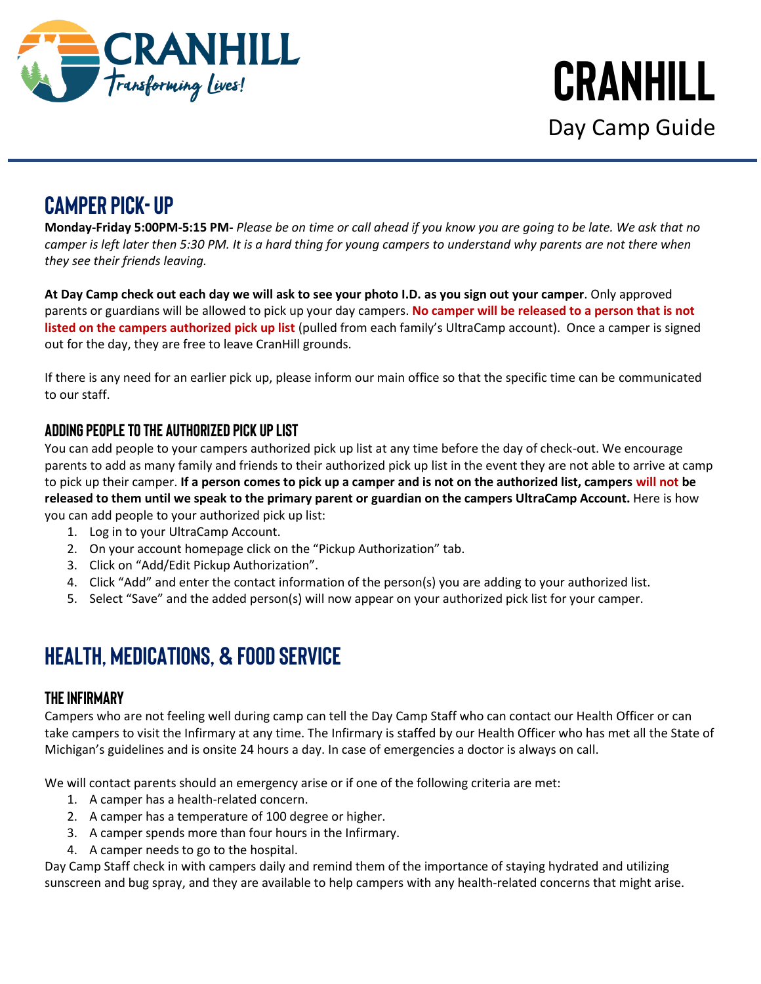

## **Camper Pick- UP**

**Monday-Friday 5:00PM-5:15 PM***- Please be on time or call ahead if you know you are going to be late. We ask that no camper is left later then 5:30 PM. It is a hard thing for young campers to understand why parents are not there when they see their friends leaving.* 

**At Day Camp check out each day we will ask to see your photo I.D. as you sign out your camper**. Only approved parents or guardians will be allowed to pick up your day campers. **No camper will be released to a person that is not listed on the campers authorized pick up list** (pulled from each family's UltraCamp account). Once a camper is signed out for the day, they are free to leave CranHill grounds.

If there is any need for an earlier pick up, please inform our main office so that the specific time can be communicated to our staff.

## **Adding People To the Authorized Pick Up List**

You can add people to your campers authorized pick up list at any time before the day of check-out. We encourage parents to add as many family and friends to their authorized pick up list in the event they are not able to arrive at camp to pick up their camper. **If a person comes to pick up a camper and is not on the authorized list, campers will not be released to them until we speak to the primary parent or guardian on the campers UltraCamp Account.** Here is how you can add people to your authorized pick up list:

- 1. Log in to your UltraCamp Account.
- 2. On your account homepage click on the "Pickup Authorization" tab.
- 3. Click on "Add/Edit Pickup Authorization".
- 4. Click "Add" and enter the contact information of the person(s) you are adding to your authorized list.
- 5. Select "Save" and the added person(s) will now appear on your authorized pick list for your camper.

## **HEALTH, MEDICATIONS, & FOOD SERVICE**

#### **The Infirmary**

Campers who are not feeling well during camp can tell the Day Camp Staff who can contact our Health Officer or can take campers to visit the Infirmary at any time. The Infirmary is staffed by our Health Officer who has met all the State of Michigan's guidelines and is onsite 24 hours a day. In case of emergencies a doctor is always on call.

We will contact parents should an emergency arise or if one of the following criteria are met:

- 1. A camper has a health-related concern.
- 2. A camper has a temperature of 100 degree or higher.
- 3. A camper spends more than four hours in the Infirmary.
- 4. A camper needs to go to the hospital.

Day Camp Staff check in with campers daily and remind them of the importance of staying hydrated and utilizing sunscreen and bug spray, and they are available to help campers with any health-related concerns that might arise.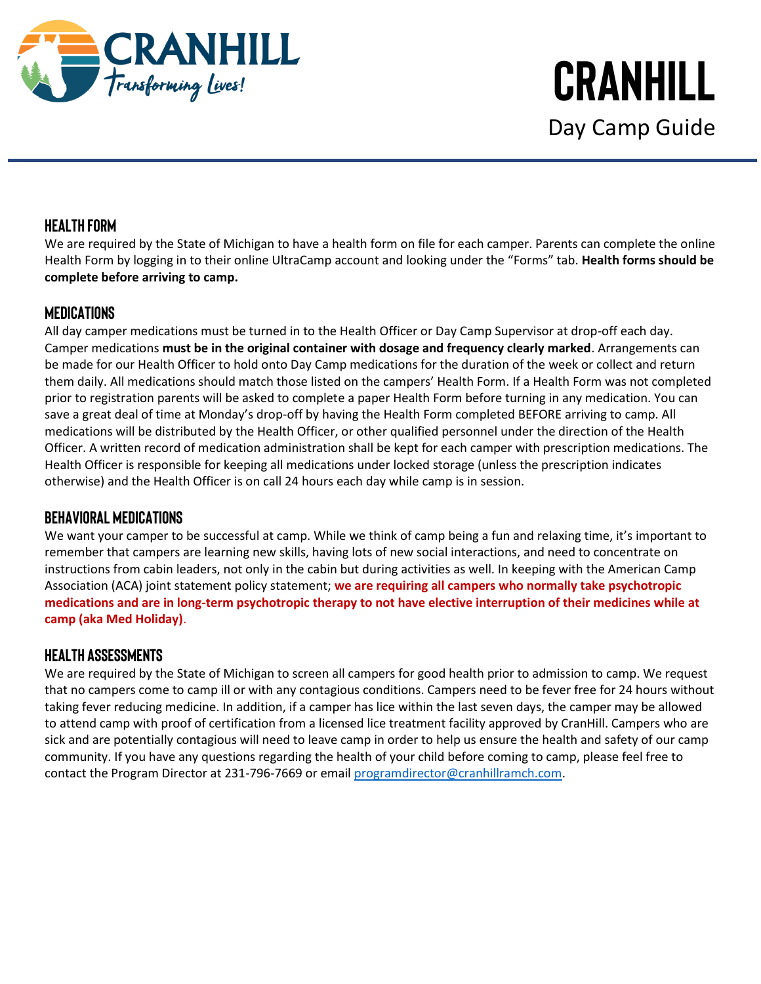

### **Health Form**

We are required by the State of Michigan to have a health form on file for each camper. Parents can complete the online Health Form by logging in to their online UltraCamp account and looking under the "Forms" tab. **Health forms should be complete before arriving to camp.**

### **Medications**

All day camper medications must be turned in to the Health Officer or Day Camp Supervisor at drop-off each day. Camper medications **must be in the original container with dosage and frequency clearly marked**. Arrangements can be made for our Health Officer to hold onto Day Camp medications for the duration of the week or collect and return them daily. All medications should match those listed on the campers' Health Form. If a Health Form was not completed prior to registration parents will be asked to complete a paper Health Form before turning in any medication. You can save a great deal of time at Monday's drop-off by having the Health Form completed BEFORE arriving to camp. All medications will be distributed by the Health Officer, or other qualified personnel under the direction of the Health Officer. A written record of medication administration shall be kept for each camper with prescription medications. The Health Officer is responsible for keeping all medications under locked storage (unless the prescription indicates otherwise) and the Health Officer is on call 24 hours each day while camp is in session.

### **Behavioral Medications**

We want your camper to be successful at camp. While we think of camp being a fun and relaxing time, it's important to remember that campers are learning new skills, having lots of new social interactions, and need to concentrate on instructions from cabin leaders, not only in the cabin but during activities as well. In keeping with the American Camp Association (ACA) joint statement policy statement; **we are requiring all campers who normally take psychotropic medications and are in long-term psychotropic therapy to not have elective interruption of their medicines while at camp (aka Med Holiday)**.

#### **Health Assessments**

We are required by the State of Michigan to screen all campers for good health prior to admission to camp. We request that no campers come to camp ill or with any contagious conditions. Campers need to be fever free for 24 hours without taking fever reducing medicine. In addition, if a camper has lice within the last seven days, the camper may be allowed to attend camp with proof of certification from a licensed lice treatment facility approved by CranHill. Campers who are sick and are potentially contagious will need to leave camp in order to help us ensure the health and safety of our camp community. If you have any questions regarding the health of your child before coming to camp, please feel free to contact the Program Director at 231-796-7669 or email [programdirector@cranhillramch.com.](mailto:programdirector@cranhillramch.com)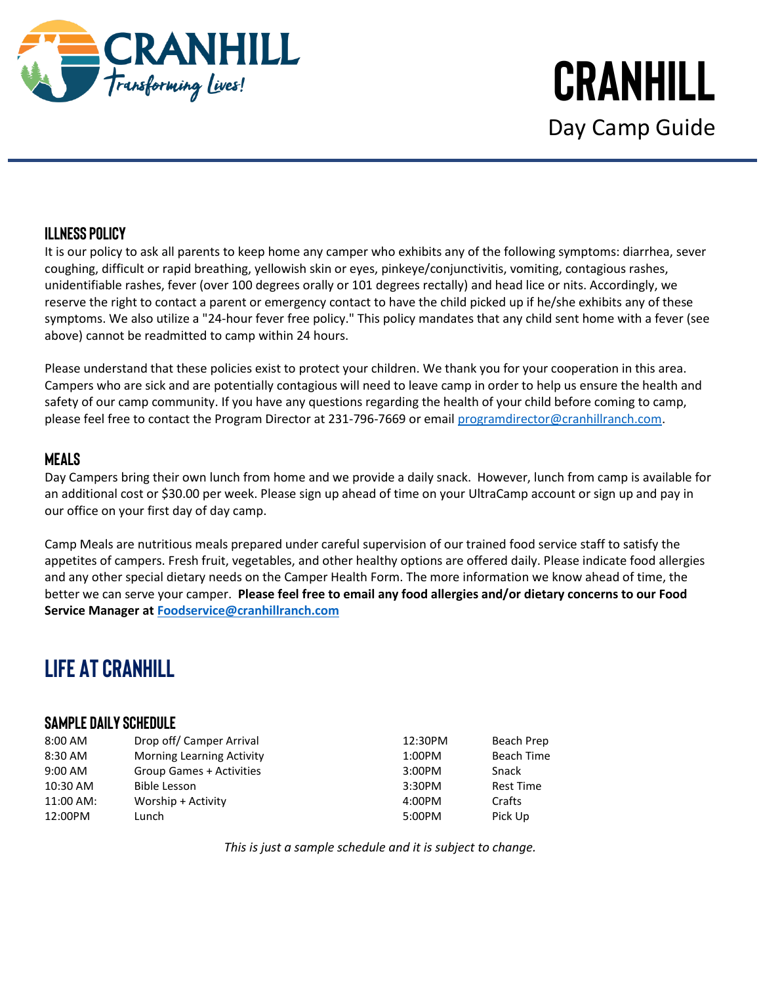

## **Illness Policy**

It is our policy to ask all parents to keep home any camper who exhibits any of the following symptoms: diarrhea, sever coughing, difficult or rapid breathing, yellowish skin or eyes, pinkeye/conjunctivitis, vomiting, contagious rashes, unidentifiable rashes, fever (over 100 degrees orally or 101 degrees rectally) and head lice or nits. Accordingly, we reserve the right to contact a parent or emergency contact to have the child picked up if he/she exhibits any of these symptoms. We also utilize a "24-hour fever free policy." This policy mandates that any child sent home with a fever (see above) cannot be readmitted to camp within 24 hours.

Please understand that these policies exist to protect your children. We thank you for your cooperation in this area. Campers who are sick and are potentially contagious will need to leave camp in order to help us ensure the health and safety of our camp community. If you have any questions regarding the health of your child before coming to camp, please feel free to contact the Program Director at 231-796-7669 or email [programdirector@cranhillranch.com.](mailto:programdirector@cranhillranch.com)

#### **Meals**

Day Campers bring their own lunch from home and we provide a daily snack. However, lunch from camp is available for an additional cost or \$30.00 per week. Please sign up ahead of time on your UltraCamp account or sign up and pay in our office on your first day of day camp.

Camp Meals are nutritious meals prepared under careful supervision of our trained food service staff to satisfy the appetites of campers. Fresh fruit, vegetables, and other healthy options are offered daily. Please indicate food allergies and any other special dietary needs on the Camper Health Form. The more information we know ahead of time, the better we can serve your camper. **Please feel free to email any food allergies and/or dietary concerns to our Food Service Manager a[t Foodservice@cranhillranch.com](mailto:Foodservice@cranhillranch.com)**

## **LIFE AT CRANHILL**

#### **Sample Daily Schedule**

| 8:00 AM   | Drop off/ Camper Arrival         | 12:30PM | Beach Prep        |
|-----------|----------------------------------|---------|-------------------|
| 8:30 AM   | <b>Morning Learning Activity</b> | 1:00PM  | <b>Beach Time</b> |
| 9:00 AM   | Group Games + Activities         | 3:00PM  | Snack             |
| 10:30 AM  | Bible Lesson                     | 3:30PM  | Rest Time         |
| 11:00 AM: | Worship + Activity               | 4:00PM  | Crafts            |
| 12:00PM   | Lunch                            | 5:00PM  | Pick Up           |

*This is just a sample schedule and it is subject to change.*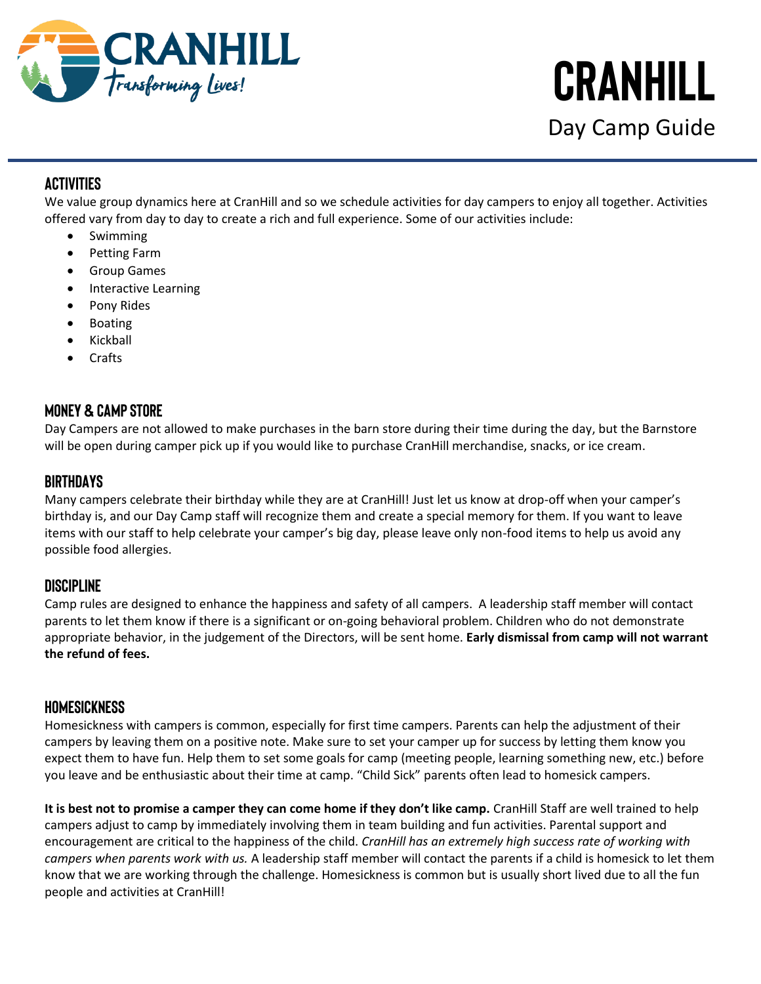

## **Activities**

We value group dynamics here at CranHill and so we schedule activities for day campers to enjoy all together. Activities offered vary from day to day to create a rich and full experience. Some of our activities include:

- **Swimming**
- Petting Farm
- Group Games
- Interactive Learning
- Pony Rides
- Boating
- **Kickball**
- Crafts

### **Money & Camp Store**

Day Campers are not allowed to make purchases in the barn store during their time during the day, but the Barnstore will be open during camper pick up if you would like to purchase CranHill merchandise, snacks, or ice cream.

#### **Birthdays**

Many campers celebrate their birthday while they are at CranHill! Just let us know at drop-off when your camper's birthday is, and our Day Camp staff will recognize them and create a special memory for them. If you want to leave items with our staff to help celebrate your camper's big day, please leave only non-food items to help us avoid any possible food allergies.

### **Discipline**

Camp rules are designed to enhance the happiness and safety of all campers. A leadership staff member will contact parents to let them know if there is a significant or on-going behavioral problem. Children who do not demonstrate appropriate behavior, in the judgement of the Directors, will be sent home. **Early dismissal from camp will not warrant the refund of fees.**

#### **Homesickness**

Homesickness with campers is common, especially for first time campers. Parents can help the adjustment of their campers by leaving them on a positive note. Make sure to set your camper up for success by letting them know you expect them to have fun. Help them to set some goals for camp (meeting people, learning something new, etc.) before you leave and be enthusiastic about their time at camp. "Child Sick" parents often lead to homesick campers.

It is best not to promise a camper they can come home if they don't like camp. CranHill Staff are well trained to help campers adjust to camp by immediately involving them in team building and fun activities. Parental support and encouragement are critical to the happiness of the child. *CranHill has an extremely high success rate of working with campers when parents work with us.* A leadership staff member will contact the parents if a child is homesick to let them know that we are working through the challenge. Homesickness is common but is usually short lived due to all the fun people and activities at CranHill!